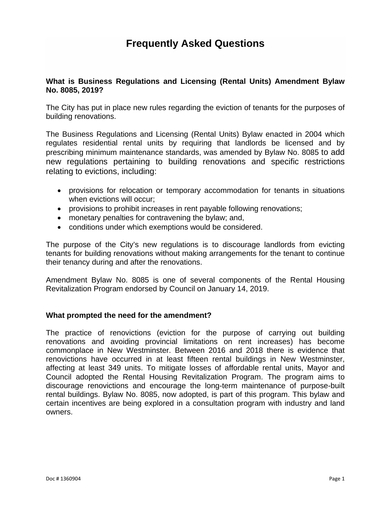# **Frequently Asked Questions**

## **What is Business Regulations and Licensing (Rental Units) Amendment Bylaw No. 8085, 2019?**

The City has put in place new rules regarding the eviction of tenants for the purposes of building renovations.

The Business Regulations and Licensing (Rental Units) Bylaw enacted in 2004 which regulates residential rental units by requiring that landlords be licensed and by prescribing minimum maintenance standards, was amended by Bylaw No. 8085 to add new regulations pertaining to building renovations and specific restrictions relating to evictions, including:

- provisions for relocation or temporary accommodation for tenants in situations when evictions will occur;
- provisions to prohibit increases in rent payable following renovations;
- monetary penalties for contravening the bylaw; and,
- conditions under which exemptions would be considered.

The purpose of the City's new regulations is to discourage landlords from evicting tenants for building renovations without making arrangements for the tenant to continue their tenancy during and after the renovations.

Amendment Bylaw No. 8085 is one of several components of the Rental Housing Revitalization Program endorsed by Council on January 14, 2019.

# **What prompted the need for the amendment?**

The practice of renovictions (eviction for the purpose of carrying out building renovations and avoiding provincial limitations on rent increases) has become commonplace in New Westminster. Between 2016 and 2018 there is evidence that renovictions have occurred in at least fifteen rental buildings in New Westminster, affecting at least 349 units. To mitigate losses of affordable rental units, Mayor and Council adopted the Rental Housing Revitalization Program. The program aims to discourage renovictions and encourage the long-term maintenance of purpose-built rental buildings. Bylaw No. 8085, now adopted, is part of this program. This bylaw and certain incentives are being explored in a consultation program with industry and land owners.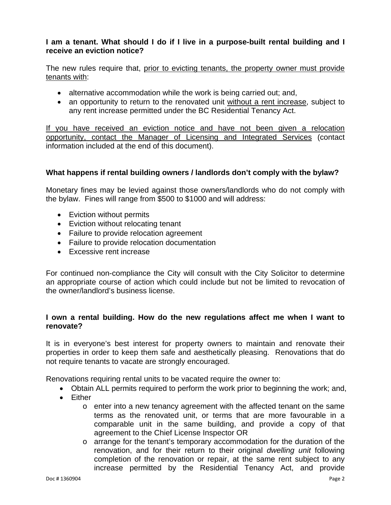# **I am a tenant. What should I do if I live in a purpose-built rental building and I receive an eviction notice?**

The new rules require that, prior to evicting tenants, the property owner must provide tenants with:

- alternative accommodation while the work is being carried out; and,
- an opportunity to return to the renovated unit without a rent increase, subject to any rent increase permitted under the BC Residential Tenancy Act.

If you have received an eviction notice and have not been given a relocation opportunity, contact the Manager of Licensing and Integrated Services (contact information included at the end of this document).

# **What happens if rental building owners / landlords don't comply with the bylaw?**

Monetary fines may be levied against those owners/landlords who do not comply with the bylaw. Fines will range from \$500 to \$1000 and will address:

- Eviction without permits
- Eviction without relocating tenant
- Failure to provide relocation agreement
- Failure to provide relocation documentation
- Excessive rent increase

For continued non-compliance the City will consult with the City Solicitor to determine an appropriate course of action which could include but not be limited to revocation of the owner/landlord's business license.

# **I own a rental building. How do the new regulations affect me when I want to renovate?**

It is in everyone's best interest for property owners to maintain and renovate their properties in order to keep them safe and aesthetically pleasing. Renovations that do not require tenants to vacate are strongly encouraged.

Renovations requiring rental units to be vacated require the owner to:

- Obtain ALL permits required to perform the work prior to beginning the work; and,
- Either
	- o enter into a new tenancy agreement with the affected tenant on the same terms as the renovated unit, or terms that are more favourable in a comparable unit in the same building, and provide a copy of that agreement to the Chief License Inspector OR
	- o arrange for the tenant's temporary accommodation for the duration of the renovation, and for their return to their original *dwelling unit* following completion of the renovation or repair, at the same rent subject to any increase permitted by the Residential Tenancy Act, and provide